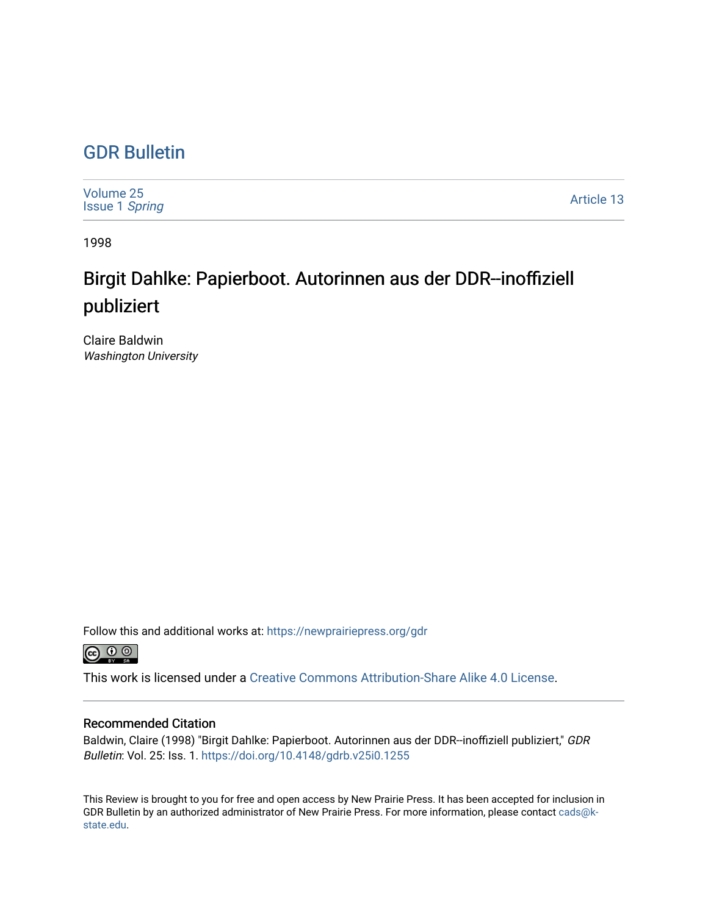## [GDR Bulletin](https://newprairiepress.org/gdr)

| Volume 25<br><b>Issue 1 Spring</b> | Article 13 |
|------------------------------------|------------|
|------------------------------------|------------|

1998

# Birgit Dahlke: Papierboot. Autorinnen aus der DDR--inoffiziell publiziert

Claire Baldwin Washington University

Follow this and additional works at: [https://newprairiepress.org/gdr](https://newprairiepress.org/gdr?utm_source=newprairiepress.org%2Fgdr%2Fvol25%2Fiss1%2F13&utm_medium=PDF&utm_campaign=PDFCoverPages) 



This work is licensed under a [Creative Commons Attribution-Share Alike 4.0 License.](https://creativecommons.org/licenses/by-sa/4.0/)

### Recommended Citation

Baldwin, Claire (1998) "Birgit Dahlke: Papierboot. Autorinnen aus der DDR--inoffiziell publiziert," GDR Bulletin: Vol. 25: Iss. 1.<https://doi.org/10.4148/gdrb.v25i0.1255>

This Review is brought to you for free and open access by New Prairie Press. It has been accepted for inclusion in GDR Bulletin by an authorized administrator of New Prairie Press. For more information, please contact [cads@k](mailto:cads@k-state.edu)[state.edu](mailto:cads@k-state.edu).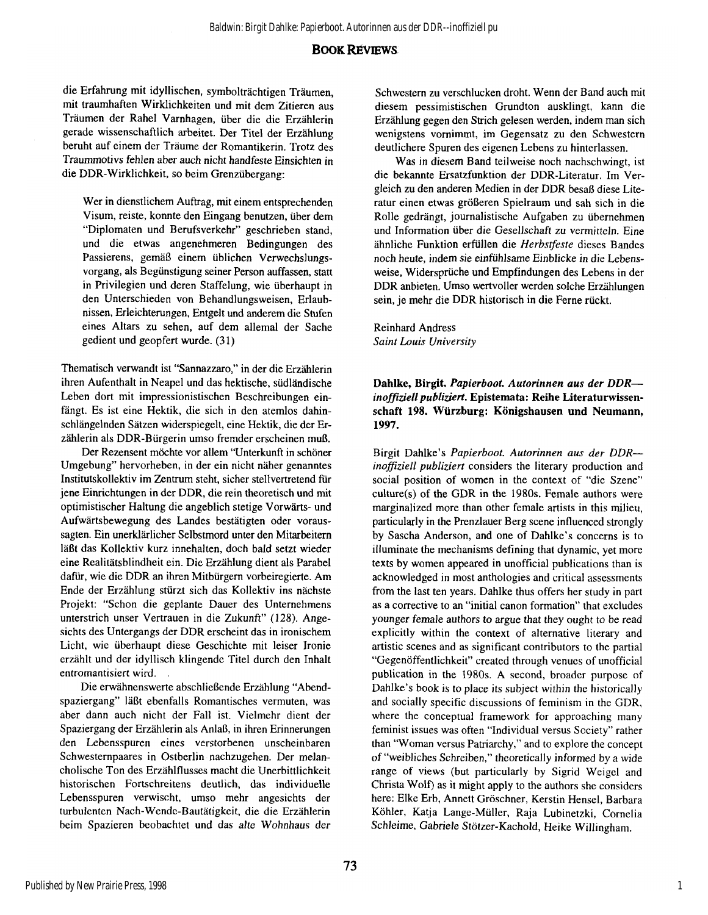#### **BOOK REVIEWS**

die Erfahrung mit idyllischen, symbolträchtigen Träumen, mit traumhaften Wirklichkeiten und mit dem Zitieren aus Träumen der Rahel Varnhagen, über die die Erzählerin gerade wissenschaftlich arbeitet. Der Titel der Erzählung beruht auf einem der Träume der Romantikerin. Trotz des Traummotivs fehlen aber auch nicht handfeste Einsichten in die DDR-Wirklichkeit, so beim Grenzübergang:

Wer in dienstlichem Auftrag, mit einem entsprechenden Visum, reiste, konnte den Eingang benutzen, über dem "Diplomaten und Berufsverkehr" geschrieben stand, und die etwas angenehmeren Bedingungen des Passierens, gemäß einem üblichen Verwechslungsvorgang, als Begünstigung seiner Person auffassen, statt in Privilegien und deren Staffelung, wie überhaupt in den Unterschieden von Behandlungsweisen, Erlaubnissen, Erleichterungen, Entgelt und anderem die Stufen eines Altars zu sehen, auf dem allemal der Sache gedient und geopfert wurde. (31)

Thematisch verwandt ist "Sannazzaro," in der die Erzählerin ihren Aufenthalt in Neapel und das hektische, südländische Leben dort mit impressionistischen Beschreibungen einfängt. Es ist eine Hektik, die sich in den atemlos dahinschlängelnden Sätzen widerspiegelt, eine Hektik, die der Erzählerin als DDR-Bürgerin umso fremder erscheinen muß.

Der Rezensent möchte vor allem "Unterkunft in schöner Umgebung" hervorheben, in der ein nicht näher genanntes Institutskollektiv im Zentrum steht, sicher stellvertretend für jene Einrichtungen in der DDR, die rein theoretisch und mit optimistischer Haltung die angeblich stetige Vorwärts- und Aufwärtsbewegung des Landes bestätigten oder voraussagten. Ein unerklärlicher Selbstmord unter den Mitarbeitern läßt das Kollektiv kurz innehalten, doch bald setzt wieder eine Realitätsblindheit ein. Die Erzählung dient als Parabel dafür, wie die DDR an ihren Mitbürgern vorbeiregierte. Am Ende der Erzählung stürzt sich das Kollektiv ins nächste Projekt: "Schon die geplante Dauer des Unternehmens unterstrich unser Vertrauen in die Zukunft" (128). Angesichts des Untergangs der DDR erscheint das in ironischem Licht, wie überhaupt diese Geschichte mit leiser Ironie erzählt und der idyllisch klingende Titel durch den Inhalt entromantisiert wird.

Die erwähnenswerte abschließende Erzählung "Abendspaziergang" läßt ebenfalls Romantisches vermuten, was aber dann auch nicht der Fall ist. Vielmehr dient der Spaziergang der Erzählerin als Anlaß, in ihren Erinnerungen den Lebensspuren eines verstorbenen unscheinbaren Schwesternpaares in Ostberlin nachzugehen. Der melancholische Ton des Erzählflusses macht die Unerbittlichkeit historischen Fortschreitens deutlich, das individuelle Lebensspuren verwischt, umso mehr angesichts der turbulenten Nach-Wende-Bautätigkeit, die die Erzählerin beim Spazieren beobachtet und das alte Wohnhaus der

Schwestern zu verschlucken droht. Wenn der Band auch mit diesem pessimistischen Grundton ausklingt, kann die Erzählung gegen den Strich gelesen werden, indem man sich wenigstens vornimmt, im Gegensatz zu den Schwestern deutlichere Spuren des eigenen Lebens zu hinterlassen.

Was in diesem Band teilweise noch nachschwingt, ist die bekannte Ersatzfunktion der DDR-Literatur. Im Vergleich zu den anderen Medien in der DDR besaß diese Literatur einen etwas größeren Spielraum und sah sich in die Rolle gedrängt, journalistische Aufgaben zu übernehmen und Information über die Gesellschaft zu vermitteln. Eine ähnliche Funktion erfüllen die *Herbstfeste* dieses Bandes noch heute, indem sie einfühlsame Einblicke in die Lebensweise, Widersprüche und Empfindungen des Lebens in der DDR anbieten. Umso wertvoller werden solche Erzählungen sein, je mehr die DDR historisch in die Ferne rückt.

Reinhard Andress *Saint Louis University* 

**Dahlke, Birgit.** *Papierboot. Autorinnen aus der DDR inoffiziell publiziert.* **Epistemata: Reihe Literaturwissenschaft 198. Würzburg: Königshausen und Neumann, 1997.** 

Birgit Dahlke's *Papierboot. Autorinnen aus der DDR inoffiziell publiziert* considers the literary production and social position of women in the context of "die Szene" culture(s) of the GDR in the 1980s. Female authors were marginalized more than other female artists in this milieu, particularly in the Prenzlauer Berg scene influenced strongly by Sascha Anderson, and one of Dahlke's concerns is to illuminate the mechanisms defining that dynamic, yet more texts by women appeared in unofficial publications than is acknowledged in most anthologies and critical assessments from the last ten years. Dahlke thus offers her study in part as a corrective to an "initial canon formation" that excludes younger female authors to argue that they ought to be read explicitly within the context of alternative literary and artistic scenes and as significant contributors to the partial "Gegenöffentlichkeit" created through venues of unofficial publication in the 1980s. A second, broader purpose of Dahlke's book is to place its subject within the historically and socially specific discussions of feminism in the GDR, where the conceptual framework for approaching many feminist issues was often "Individual versus Society" rather than "Woman versus Patriarchy," and to explore the concept of "weibliches Schreiben," theoretically informed by a wide range of views (but particularly by Sigrid Weigel and Christa Wolf) as it might apply to the authors she considers here: Elke Erb, Annett Gröschner, Kerstin Hensel, Barbara Köhler, Katja Lange-Müller, Raja Lubinetzki, Cornelia Schleime, Gabriele Stötzer-Kachold, Heike Willingham.

1